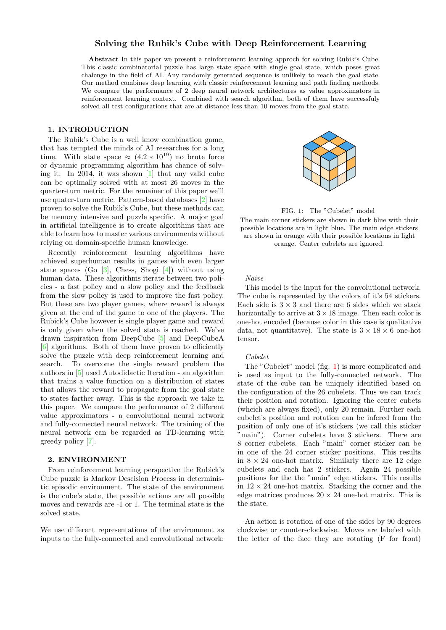# Solving the Rubik's Cube with Deep Reinforcement Learning

Abstract In this paper we present a reinforcement learning approch for solving Rubik's Cube. This classic combinatorial puzzle has large state space with single goal state, which poses great chalenge in the field of AI. Any randomly generated sequence is unlikely to reach the goal state. Our method combines deep learning with classic reinforcement learning and path finding methods. We compare the performance of 2 deep neural network architectures as value approximators in reinforcement learning context. Combined with search algorithm, both of them have successfuly solved all test configurations that are at distance less than 10 moves from the goal state.

# 1. INTRODUCTION

The Rubik's Cube is a well know combination game, that has tempted the minds of AI researches for a long time. With state space  $\approx (4.2 * 10^{19})$  no brute force or dynamic programming algorithm has chance of solving it. In 2014, it was shown [\[1\]](#page-3-0) that any valid cube can be optimally solved with at most 26 moves in the quarter-turn metric. For the remainer of this paper we'll use quater-turn metric. Pattern-based databases [\[2\]](#page-3-1) have proven to solve the Rubik's Cube, but these methods can be memory intensive and puzzle specific. A major goal in artificial intelligence is to create algorithms that are able to learn how to master various environments without relying on domain-specific human knowledge.

Recently reinforcement learning algorithms have achieved superhuman results in games with even larger state spaces (Go  $[3]$ , Chess, Shogi  $[4]$ ) without using human data. These algorithms iterate between two policies - a fast policy and a slow policy and the feedback from the slow policy is used to improve the fast policy. But these are two player games, where reward is always given at the end of the game to one of the players. The Rubick's Cube however is single player game and reward is only given when the solved state is reached. We've drawn inspiration from DeepCube [\[5\]](#page-3-4) and DeepCubeA [\[6\]](#page-3-5) algorithms. Both of them have proven to efficiently solve the puzzle with deep reinforcement learning and search. To overcome the single reward problem the authors in [\[5\]](#page-3-4) used Autodidactic Iteration - an algorithm that trains a value function on a distribution of states that allows the reward to propagate from the goal state to states farther away. This is the approach we take in this paper. We compare the performance of 2 different value approximators - a convolutional neural network and fully-connected neural network. The training of the neural network can be regarded as TD-learning with greedy policy [\[7\]](#page-4-0).

## 2. ENVIRONMENT

From reinforcement learning perspective the Rubick's Cube puzzle is Markov Descision Process in deterministic episodic environment. The state of the environment is the cube's state, the possible actions are all possible moves and rewards are -1 or 1. The terminal state is the solved state.

We use different representations of the environment as inputs to the fully-connected and convolutional network:



<span id="page-0-0"></span>FIG. 1: The "Cubelet" model

The main corner stickers are shown in dark blue with their possible locations are in light blue. The main edge stickers are shown in orange with their possible locations in light orange. Center cubelets are ignored.

# Naive

This model is the input for the convolutional network. The cube is represented by the colors of it's 54 stickers. Each side is  $3 \times 3$  and there are 6 sides which we stack horizontally to arrive at  $3 \times 18$  image. Then each color is one-hot encoded (because color in this case is qualitative data, not quantitative). The state is  $3 \times 18 \times 6$  one-hot tensor.

### Cubelet

The "Cubelet" model (fig. [1\)](#page-0-0) is more complicated and is used as input to the fully-connected network. The state of the cube can be uniquely identified based on the configuration of the 26 cubelets. Thus we can track their position and rotation. Ignoring the center cubets (whcich are always fixed), only 20 remain. Further each cubelet's position and rotation can be infered from the position of only one of it's stickers (we call this sticker "main"). Corner cubelets have 3 stickers. There are 8 corner cubelets. Each "main" corner sticker can be in one of the 24 corner sticker positions. This results in  $8 \times 24$  one-hot matrix. Similarly there are 12 edge cubelets and each has 2 stickers. Again 24 possible positions for the the "main" edge stickers. This results in  $12 \times 24$  one-hot matrix. Stacking the corner and the edge matrices produces  $20 \times 24$  one-hot matrix. This is the state.

An action is rotation of one of the sides by 90 degrees clockwise or counter-clockwise. Moves are labeled with the letter of the face they are rotating (F for front)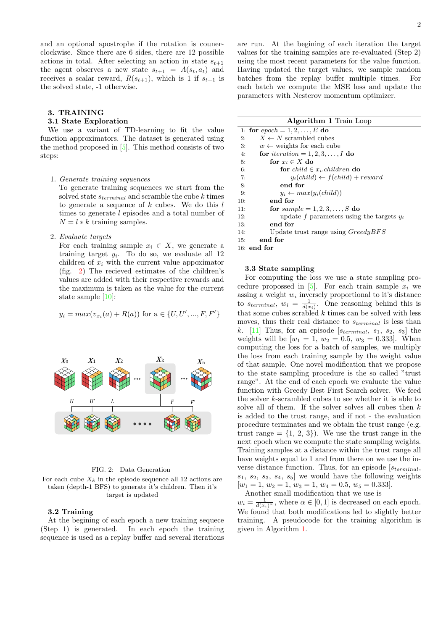and an optional apostrophe if the rotation is counerclockwise. Since there are 6 sides, there are 12 possible actions in total. After selecting an action in state  $s_{t+1}$ the agent observes a new state  $s_{t+1} = A(s_t, a_t)$  and receives a scalar reward,  $R(s_{t+1})$ , which is 1 if  $s_{t+1}$  is the solved state, -1 otherwise.

### 3. TRAINING

## 3.1 State Exploration

We use a variant of TD-learning to fit the value function approximators. The dataset is generated using the method proposed in [\[5\]](#page-3-4). This method consists of two steps:

#### 1. Generate training sequences

To generate training sequences we start from the solved state  $s_{terminal}$  and scramble the cube k times to generate a sequence of  $k$  cubes. We do this  $l$ times to generate l episodes and a total number of  $N = l * k$  training samples.

## 2. Evaluate targets

For each training sample  $x_i \in X$ , we generate a training target  $y_i$ . To do so, we evaluate all 12 children of  $x_i$  with the current value appoximator (fig. [2\)](#page-1-0) The recieved estimates of the children's values are added with their respective rewards and the maximum is taken as the value for the current state sample [\[10\]](#page-4-1):

$$
y_i = max(v_{x_i}(a) + R(a))
$$
 for  $a \in \{U, U', ..., F, F'\}$ 



#### <span id="page-1-0"></span>FIG. 2: Data Generation

For each cube  $X_k$  in the episode sequence all 12 actions are taken (depth-1 BFS) to generate it's children. Then it's target is updated

## 3.2 Training

At the begining of each epoch a new training sequece (Step 1) is generated. In each epoch the training sequence is used as a replay buffer and several iterations

are run. At the begining of each iteration the target values for the training samples are re-evaluated (Step 2) using the most recent parameters for the value function. Having updated the target values, we sample random batches from the replay buffer multiple times. For each batch we compute the MSE loss and update the parameters with Nesterov momentum optimizer.

<span id="page-1-1"></span>

| <b>Algorithm 1</b> Train Loop |                                             |  |  |  |  |
|-------------------------------|---------------------------------------------|--|--|--|--|
|                               | 1: for $epoch = 1, 2, , E$ do               |  |  |  |  |
| 2:                            | $X \leftarrow N$ scrambled cubes            |  |  |  |  |
| 3:                            | $w \leftarrow$ weights for each cube        |  |  |  |  |
| 4:                            | for <i>iteration</i> = 1, 2, 3, , I do      |  |  |  |  |
| 5:                            | for $x_i \in X$ do                          |  |  |  |  |
| 6:                            | for child $\in$ x <sub>i</sub> .children do |  |  |  |  |
| 7:                            | $y_i(child) \leftarrow f(child) + reward$   |  |  |  |  |
| 8:                            | end for                                     |  |  |  |  |
| 9:                            | $y_i \leftarrow max(y_i(child))$            |  |  |  |  |
| 10:                           | end for                                     |  |  |  |  |
| 11:                           | for $sample = 1, 2, 3, \ldots, S$ do        |  |  |  |  |
| 12:                           | update f parameters using the targets $y_i$ |  |  |  |  |
| 13:                           | end for                                     |  |  |  |  |
| 14:                           | Update trust range using $Greedy BFS$       |  |  |  |  |
| 15.                           | end for                                     |  |  |  |  |
| $16:$ end for                 |                                             |  |  |  |  |

# 3.3 State sampling

For computing the loss we use a state sampling pro-cedure propossed in [\[5\]](#page-3-4). For each train sample  $x_i$  we assing a weight  $w_i$  inversely proportional to it's distance to  $s_{terminal}$ ,  $w_i = \frac{1}{d(x_i)}$ . One reasoning behind this is that some cubes scrabled  $k$  times can be solved with less moves, thus their real distance to  $s_{terminal}$  is less than k.  $[11]$  Thus, for an episode  $[s_{terminal}, s_1, s_2, s_3]$  the weights will be  $[w_1 = 1, w_2 = 0.5, w_3 = 0.333]$ . When computing the loss for a batch of samples, we multiply the loss from each training sample by the weight value of that sample. One novel modification that we propose to the state sampling procedure is the so called "trust range". At the end of each epoch we evaluate the value function with Greedy Best First Search solver. We feed the solver k-scrambled cubes to see whether it is able to solve all of them. If the solver solves all cubes then  $k$ is added to the trust range, and if not - the evaluation procedure terminates and we obtain the trust range (e.g. trust range  $= \{1, 2, 3\}$ . We use the trust range in the next epoch when we compute the state sampling weights. Training samples at a distance within the trust range all have weights equal to 1 and from there on we use the inverse distance function. Thus, for an episode  $[s_{terminal},$  $s_1, s_2, s_3, s_4, s_5$  we would have the following weights  $[w_1 = 1, w_2 = 1, w_3 = 1, w_4 = 0.5, w_5 = 0.333].$ 

Another small modification that we use is  $w_i = \frac{1}{d(x_i)^\alpha}$ , where  $\alpha \in [0, 1]$  is decreased on each epoch. We found that both modifications led to slightly better training. A pseudocode for the training algorithm is given in Algorithm [1.](#page-1-1)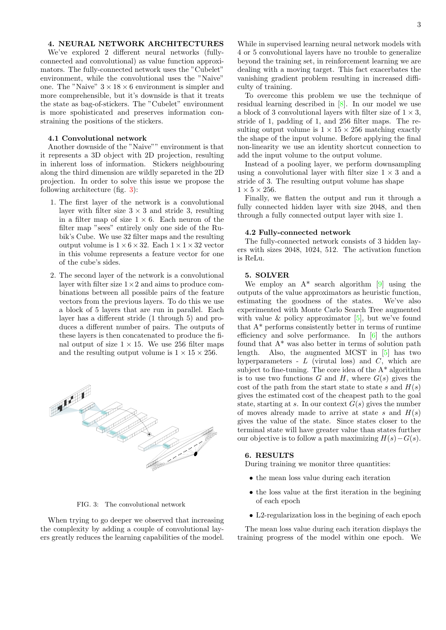# 4. NEURAL NETWORK ARCHITECTURES

We've explored 2 different neural networks (fullyconnected and convolutional) as value function approximators. The fully-connected network uses the "Cubelet" environment, while the convolutional uses the "Naive" one. The "Naive"  $3 \times 18 \times 6$  environment is simpler and more comprehensible, but it's downside is that it treats the state as bag-of-stickers. The "Cubelet" environment is more spohisticated and preserves information constraining the positions of the stickers.

# 4.1 Convolutional network

Another downside of the "Naive"" environment is that it represents a 3D object with 2D projection, resulting in inherent loss of information. Stickers neighbouring along the third dimension are wildly separeted in the 2D projection. In order to solve this issue we propose the following architecture (fig. [3\)](#page-2-0):

- 1. The first layer of the network is a convolutional layer with filter size  $3 \times 3$  and stride 3, resulting in a filter map of size  $1 \times 6$ . Each neuron of the filter map "sees" entirely only one side of the Rubik's Cube. We use 32 filter maps and the resulting output volume is  $1 \times 6 \times 32$ . Each  $1 \times 1 \times 32$  vector in this volume represents a feature vector for one of the cube's sides.
- 2. The second layer of the network is a convolutional layer with filter size  $1 \times 2$  and aims to produce combinations between all possible pairs of the feature vectors from the previous layers. To do this we use a block of 5 layers that are run in parallel. Each layer has a different stride (1 through 5) and produces a different number of pairs. The outputs of these layers is then concatenated to produce the final output of size  $1 \times 15$ . We use 256 filter maps and the resulting output volume is  $1 \times 15 \times 256$ .



<span id="page-2-0"></span>FIG. 3: The convolutional network

When trying to go deeper we observed that increasing the complexity by adding a couple of convolutional layers greatly reduces the learning capabilities of the model.

While in supervised learning neural network models with 4 or 5 convolutional layers have no trouble to generalize beyond the training set, in reinforcement learning we are dealing with a moving target. This fact exacerbates the vanishing gradient problem resulting in increased difficulty of training.

To overcome this problem we use the technique of residual learning described in [\[8\]](#page-4-3). In our model we use a block of 3 convolutional layers with filter size of  $1 \times 3$ , stride of 1, padding of 1, and 256 filter maps. The resulting output volume is  $1 \times 15 \times 256$  matching exactly the shape of the input volume. Before applying the final non-linearity we use an identity shortcut connection to add the input volume to the output volume.

Instead of a pooling layer, we perform downsampling using a convolutional layer with filter size  $1 \times 3$  and a stride of 3. The resulting output volume has shape  $1 \times 5 \times 256$ .

Finally, we flatten the output and run it through a fully connected hidden layer with size 2048, and then through a fully connected output layer with size 1.

## 4.2 Fully-connected network

The fully-connected network consists of 3 hidden layers with sizes 2048, 1024, 512. The activation function is ReLu.

# 5. SOLVER

We employ an  $A^*$  search algorithm [\[9\]](#page-4-4) using the outputs of the value approximators as heuristic function, estimating the goodness of the states. We've also experimented with Monte Carlo Search Tree augmented with value  $\&$  policy approximator [\[5\]](#page-3-4), but we've found that A\* performs consistently better in terms of runtime efficiency and solve performance. In [\[6\]](#page-3-5) the authors found that A\* was also better in terms of solution path length. Also, the augmented MCST in [\[5\]](#page-3-4) has two hyperparameters -  $L$  (virutal loss) and  $C$ , which are subject to fine-tuning. The core idea of the  $A^*$  algorithm is to use two functions  $G$  and  $H$ , where  $G(s)$  gives the cost of the path from the start state to state s and  $H(s)$ gives the estimated cost of the cheapest path to the goal state, starting at s. In our context  $G(s)$  gives the number of moves already made to arrive at state s and  $H(s)$ gives the value of the state. Since states closer to the terminal state will have greater value than states further our objective is to follow a path maximizing  $H(s) - G(s)$ .

# 6. RESULTS

During training we monitor three quantities:

- the mean loss value during each iteration
- the loss value at the first iteration in the begining of each epoch
- L2-regularization loss in the begining of each epoch

The mean loss value during each iteration displays the training progress of the model within one epoch. We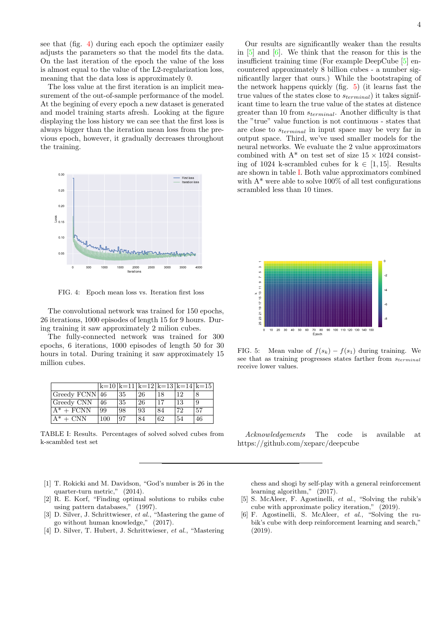see that (fig. [4\)](#page-3-6) during each epoch the optimizer easily adjusts the parameters so that the model fits the data. On the last iteration of the epoch the value of the loss is almost equal to the value of the L2-regularization loss, meaning that the data loss is approximately 0.

The loss value at the first iteration is an implicit measurement of the out-of-sample performance of the model. At the begining of every epoch a new dataset is generated and model training starts afresh. Looking at the figure displaying the loss history we can see that the first loss is always bigger than the iteration mean loss from the previous epoch, however, it gradually decreases throughout the training.



<span id="page-3-6"></span>FIG. 4: Epoch mean loss vs. Iteration first loss

The convolutional network was trained for 150 epochs, 26 iterations, 1000 episodes of length 15 for 9 hours. During training it saw approximately 2 milion cubes.

The fully-connected network was trained for 300 epochs, 6 iterations, 1000 episodes of length 50 for 30 hours in total. During training it saw approximately 15 million cubes.

|                     |     |    |    |    |    | $ k=10 k=11 k=12 k=13 k=14 k=15 $ |
|---------------------|-----|----|----|----|----|-----------------------------------|
| Greedy FCNN 46      |     | 35 | 26 | 18 | 12 |                                   |
| Greedy CNN          | 46  | 35 | 26 | 17 | 13 | 9                                 |
| $A^* + FCNN$        | 99  | 98 | 93 | 84 | 72 | 57                                |
| $A^*$<br><b>CNN</b> | 100 | 97 | 84 | 62 | 54 | 46                                |

<span id="page-3-8"></span>TABLE I: Results. Percentages of solved solved cubes from k-scambled test set

are close to  $s_{terminal}$  in input space may be very far in output space. Third, we've used smaller models for the neural networks. We evaluate the 2 value approximators combined with  $A^*$  on test set of size  $15 \times 1024$  consisting of 1024 k-scrambled cubes for  $k \in [1, 15]$ . Results are shown in table [I.](#page-3-8) Both value approximators combined with  $A^*$  were able to solve 100% of all test configurations scrambled less than 10 times.

Our results are significantlly weaker than the results in [\[5\]](#page-3-4) and [\[6\]](#page-3-5). We think that the reason for this is the insufficient training time (For example DeepCube [\[5\]](#page-3-4) encountered approximately 8 billion cubes - a number significantlly larger that ours.) While the bootstraping of the network happens quickly (fig. [5\)](#page-3-7) (it learns fast the true values of the states close to  $s_{terminal}$ ) it takes significant time to learn the true value of the states at distence greater than 10 from  $s_{terminal}$ . Another difficulty is that the "true" value function is not continuous - states that



<span id="page-3-7"></span>FIG. 5: Mean value of  $f(s_k) - f(s_1)$  during training. We see that as training progresses states farther from  $s_{terminal}$ receive lower values.

Acknowledgements The code is available at https://github.com/xeparc/deepcube

- <span id="page-3-0"></span>[1] T. Rokicki and M. Davidson, "God's number is 26 in the quarter-turn metric," (2014).
- <span id="page-3-1"></span>[2] R. E. Korf, "Finding optimal solutions to rubiks cube using pattern databases," (1997).
- <span id="page-3-2"></span>[3] D. Silver, J. Schrittwieser, et al., "Mastering the game of go without human knowledge," (2017).
- <span id="page-3-3"></span>[4] D. Silver, T. Hubert, J. Schrittwieser, et al., "Mastering

chess and shogi by self-play with a general reinforcement learning algorithm," (2017).

- <span id="page-3-4"></span>[5] S. McAleer, F. Agostinelli, et al., "Solving the rubik's cube with approximate policy iteration," (2019).
- <span id="page-3-5"></span>[6] F. Agostinelli, S. McAleer, et al., "Solving the rubik's cube with deep reinforcement learning and search," (2019).